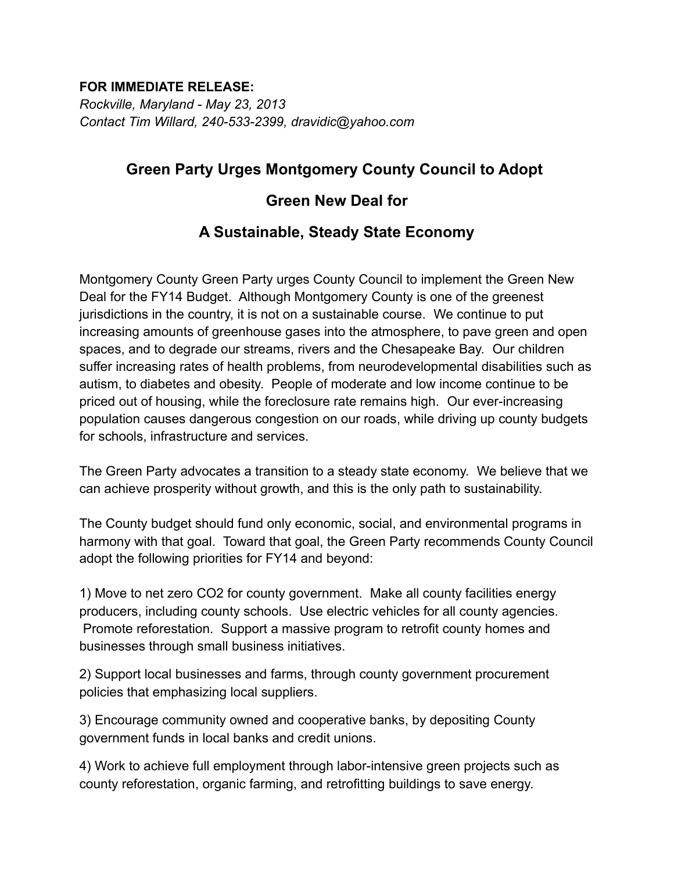### **FOR IMMEDIATE RELEASE:**

*Rockville, Maryland - May 23, 2013 Contact Tim Willard, 240-533-2399, dravidic@yahoo.com*

# **Green Party Urges Montgomery County Council to Adopt**

# **Green New Deal for**

# **A Sustainable, Steady State Economy**

Montgomery County Green Party urges County Council to implement the Green New Deal for the FY14 Budget. Although Montgomery County is one of the greenest jurisdictions in the country, it is not on a sustainable course. We continue to put increasing amounts of greenhouse gases into the atmosphere, to pave green and open spaces, and to degrade our streams, rivers and the Chesapeake Bay. Our children suffer increasing rates of health problems, from neurodevelopmental disabilities such as autism, to diabetes and obesity. People of moderate and low income continue to be priced out of housing, while the foreclosure rate remains high. Our ever-increasing population causes dangerous congestion on our roads, while driving up county budgets for schools, infrastructure and services.

The Green Party advocates a transition to a steady state economy. We believe that we can achieve prosperity without growth, and this is the only path to sustainability.

The County budget should fund only economic, social, and environmental programs in harmony with that goal. Toward that goal, the Green Party recommends County Council adopt the following priorities for FY14 and beyond:

1) Move to net zero CO2 for county government. Make all county facilities energy producers, including county schools. Use electric vehicles for all county agencies. Promote reforestation. Support a massive program to retrofit county homes and businesses through small business initiatives.

2) Support local businesses and farms, through county government procurement policies that emphasizing local suppliers.

3) Encourage community owned and cooperative banks, by depositing County government funds in local banks and credit unions.

4) Work to achieve full employment through labor-intensive green projects such as county reforestation, organic farming, and retrofitting buildings to save energy.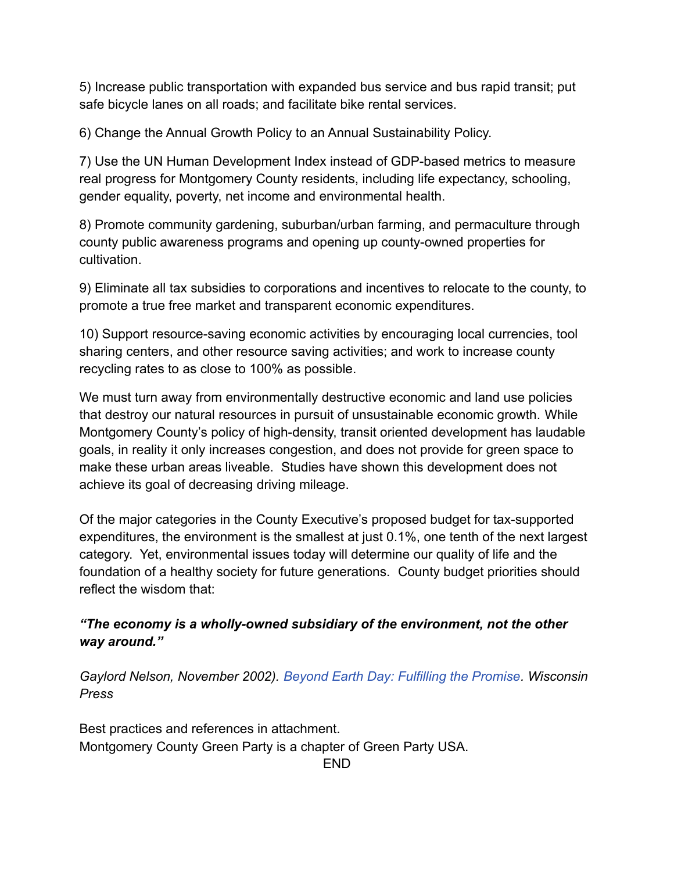5) Increase public transportation with expanded bus service and bus rapid transit; put safe bicycle lanes on all roads; and facilitate bike rental services.

6) Change the Annual Growth Policy to an Annual Sustainability Policy.

7) Use the UN Human Development Index instead of GDP-based metrics to measure real progress for Montgomery County residents, including life expectancy, schooling, gender equality, poverty, net income and environmental health.

8) Promote community gardening, suburban/urban farming, and permaculture through county public awareness programs and opening up county-owned properties for cultivation.

9) Eliminate all tax subsidies to corporations and incentives to relocate to the county, to promote a true free market and transparent economic expenditures.

10) Support resource-saving economic activities by encouraging local currencies, tool sharing centers, and other resource saving activities; and work to increase county recycling rates to as close to 100% as possible.

We must turn away from environmentally destructive economic and land use policies that destroy our natural resources in pursuit of unsustainable economic growth. While Montgomery County's policy of high-density, transit oriented development has laudable goals, in reality it only increases congestion, and does not provide for green space to make these urban areas liveable. Studies have shown this development does not achieve its goal of decreasing driving mileage.

Of the major categories in the County Executive's proposed budget for tax-supported expenditures, the environment is the smallest at just 0.1%, one tenth of the next largest category. Yet, environmental issues today will determine our quality of life and the foundation of a healthy society for future generations. County budget priorities should reflect the wisdom that:

# *"The economy is a wholly-owned subsidiary of the environment, not the other way around."*

*Gaylord Nelson, November 2002). Beyond Earth Day: Fulfilling the Promise. Wisconsin Press*

Best practices and references in attachment. Montgomery County Green Party is a chapter of Green Party USA. END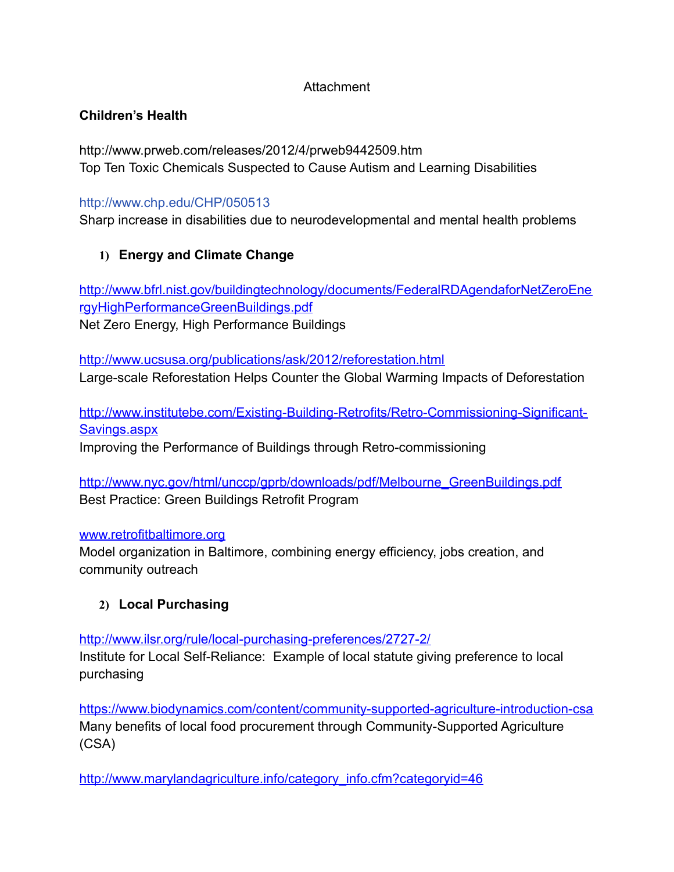## **Attachment**

# **Children's Health**

http://www.prweb.com/releases/2012/4/prweb9442509.htm Top Ten Toxic Chemicals Suspected to Cause Autism and Learning Disabilities

## http://www.chp.edu/CHP/050513

Sharp increase in disabilities due to neurodevelopmental and mental health problems

# **1) Energy and Climate Change**

[http://www.bfrl.nist.gov/buildingtechnology/documents/FederalRDAgendaforNetZeroEne](http://www.bfrl.nist.gov/buildingtechnology/documents/FederalRDAgendaforNetZeroEnergyHighPerformanceGreenBuildings.pdf) [rgyHighPerformanceGreenBuildings.pdf](http://www.bfrl.nist.gov/buildingtechnology/documents/FederalRDAgendaforNetZeroEnergyHighPerformanceGreenBuildings.pdf) Net Zero Energy, High Performance Buildings

<http://www.ucsusa.org/publications/ask/2012/reforestation.html> Large-scale Reforestation Helps Counter the Global Warming Impacts of Deforestation

[http://www.institutebe.com/Existing-Building-Retrofits/Retro-Commissioning-Significant-](http://www.institutebe.com/Existing-Building-Retrofits/Retro-Commissioning-Significant-Savings.aspx)[Savings.aspx](http://www.institutebe.com/Existing-Building-Retrofits/Retro-Commissioning-Significant-Savings.aspx) Improving the Performance of Buildings through Retro-commissioning

[http://www.nyc.gov/html/unccp/gprb/downloads/pdf/Melbourne\\_GreenBuildings.pdf](http://www.nyc.gov/html/unccp/gprb/downloads/pdf/Melbourne_GreenBuildings.pdf) Best Practice: Green Buildings Retrofit Program

### [www.retrofitbaltimore.org](http://www.retrofitbaltimore.org/)

Model organization in Baltimore, combining energy efficiency, jobs creation, and community outreach

# **2) Local Purchasing**

<http://www.ilsr.org/rule/local-purchasing-preferences/2727-2/>

Institute for Local Self-Reliance: Example of local statute giving preference to local purchasing

<https://www.biodynamics.com/content/community-supported-agriculture-introduction-csa> Many benefits of local food procurement through Community-Supported Agriculture (CSA)

[http://www.marylandagriculture.info/category\\_info.cfm?categoryid=46](http://www.marylandagriculture.info/category_info.cfm?categoryid=46)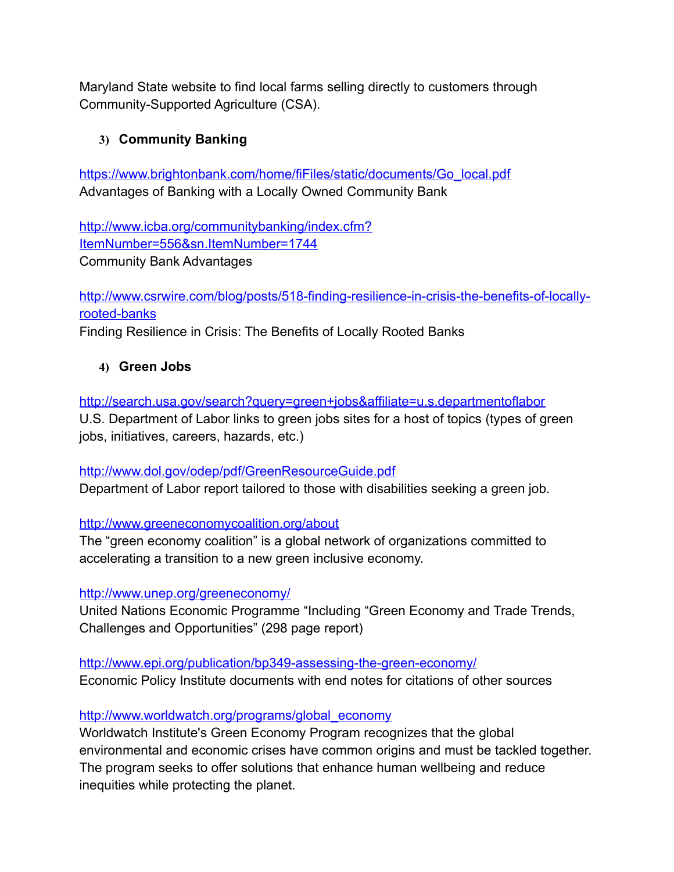Maryland State website to find local farms selling directly to customers through Community-Supported Agriculture (CSA).

# **3) Community Banking**

[https://www.brightonbank.com/home/fiFiles/static/documents/Go\\_local.pdf](https://www.brightonbank.com/home/fiFiles/static/documents/Go_local.pdf) Advantages of Banking with a Locally Owned Community Bank

[http://www.icba.org/communitybanking/index.cfm?](http://www.icba.org/communitybanking/index.cfm?ItemNumber=556&sn.ItemNumber=1744) [ItemNumber=556&sn.ItemNumber=1744](http://www.icba.org/communitybanking/index.cfm?ItemNumber=556&sn.ItemNumber=1744) Community Bank Advantages

[http://www.csrwire.com/blog/posts/518-finding-resilience-in-crisis-the-benefits-of-locally](http://www.csrwire.com/blog/posts/518-finding-resilience-in-crisis-the-benefits-of-locally-rooted-banks)[rooted-banks](http://www.csrwire.com/blog/posts/518-finding-resilience-in-crisis-the-benefits-of-locally-rooted-banks)

Finding Resilience in Crisis: The Benefits of Locally Rooted Banks

## **4) Green Jobs**

<http://search.usa.gov/search?query=green+jobs&affiliate=u.s.departmentoflabor> U.S. Department of Labor links to green jobs sites for a host of topics (types of green jobs, initiatives, careers, hazards, etc.)

<http://www.dol.gov/odep/pdf/GreenResourceGuide.pdf> Department of Labor report tailored to those with disabilities seeking a green job.

<http://www.greeneconomycoalition.org/about>

The "green economy coalition" is a global network of organizations committed to accelerating a transition to a new green inclusive economy.

### <http://www.unep.org/greeneconomy/>

United Nations Economic Programme "Including "Green Economy and Trade Trends, Challenges and Opportunities" (298 page report)

<http://www.epi.org/publication/bp349-assessing-the-green-economy/> Economic Policy Institute documents with end notes for citations of other sources

[http://www.worldwatch.org/programs/global\\_economy](http://www.worldwatch.org/programs/global_economy)

Worldwatch Institute's Green Economy Program recognizes that the global environmental and economic crises have common origins and must be tackled together. The program seeks to offer solutions that enhance human wellbeing and reduce inequities while protecting the planet.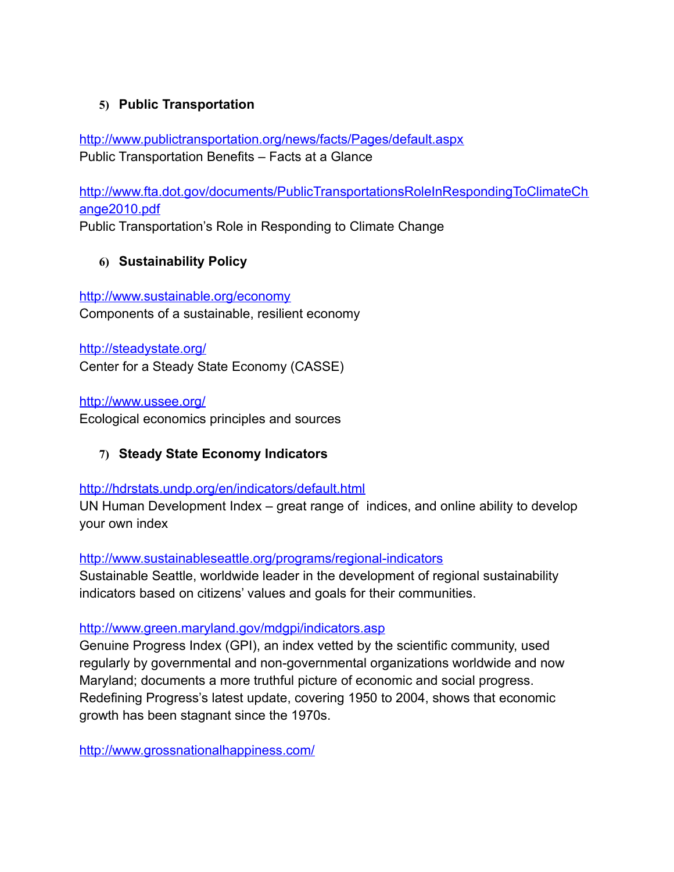# **5) Public Transportation**

<http://www.publictransportation.org/news/facts/Pages/default.aspx> Public Transportation Benefits – Facts at a Glance

[http://www.fta.dot.gov/documents/PublicTransportationsRoleInRespondingToClimateCh](http://www.fta.dot.gov/documents/PublicTransportationsRoleInRespondingToClimateChange2010.pdf) [ange2010.pdf](http://www.fta.dot.gov/documents/PublicTransportationsRoleInRespondingToClimateChange2010.pdf)

Public Transportation's Role in Responding to Climate Change

## **6) Sustainability Policy**

<http://www.sustainable.org/economy> Components of a sustainable, resilient economy

<http://steadystate.org/> Center for a Steady State Economy (CASSE)

<http://www.ussee.org/>

Ecological economics principles and sources

**7) Steady State Economy Indicators**

### <http://hdrstats.undp.org/en/indicators/default.html>

UN Human Development Index – great range of indices, and online ability to develop your own index

<http://www.sustainableseattle.org/programs/regional-indicators>

Sustainable Seattle, worldwide leader in the development of regional sustainability indicators based on citizens' values and goals for their communities.

<http://www.green.maryland.gov/mdgpi/indicators.asp>

Genuine Progress Index (GPI), an index vetted by the scientific community, used regularly by governmental and non-governmental organizations worldwide and now Maryland; documents a more truthful picture of economic and social progress. Redefining Progress's latest update, covering 1950 to 2004, shows that economic growth has been stagnant since the 1970s.

<http://www.grossnationalhappiness.com/>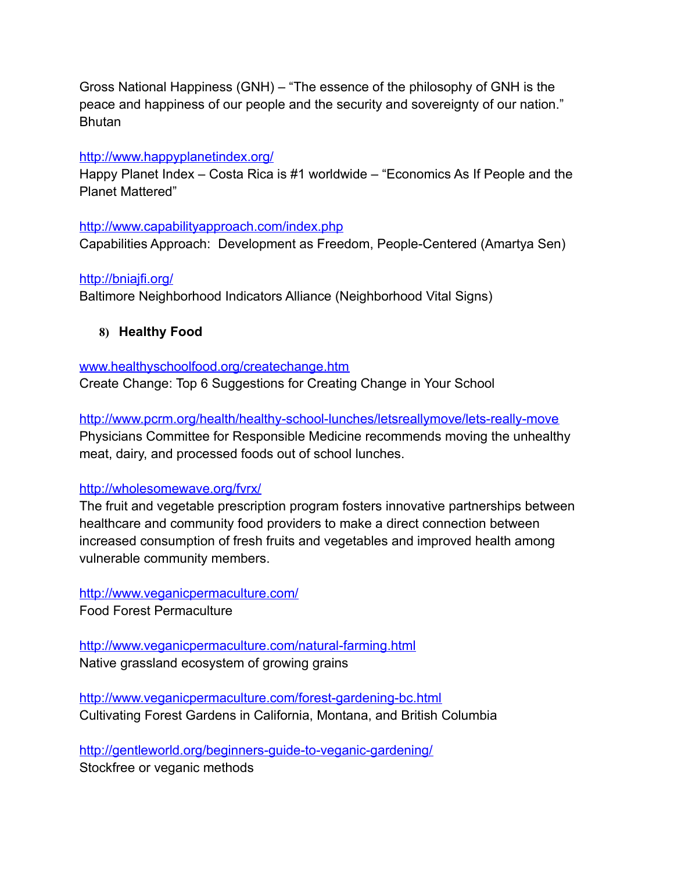Gross National Happiness (GNH) – "The essence of the philosophy of GNH is the peace and happiness of our people and the security and sovereignty of our nation." **Bhutan** 

#### <http://www.happyplanetindex.org/>

Happy Planet Index – Costa Rica is #1 worldwide – "Economics As If People and the Planet Mattered"

#### <http://www.capabilityapproach.com/index.php>

Capabilities Approach: Development as Freedom, People-Centered (Amartya Sen)

#### <http://bniajfi.org/>

Baltimore Neighborhood Indicators Alliance (Neighborhood Vital Signs)

#### **8) Healthy Food**

#### [www.healthyschoolfood.org/createchange.htm](http://www.healthyschoolfood.org/createchange.htm)

Create Change: Top 6 Suggestions for Creating Change in Your School

<http://www.pcrm.org/health/healthy-school-lunches/letsreallymove/lets-really-move> Physicians Committee for Responsible Medicine recommends moving the unhealthy meat, dairy, and processed foods out of school lunches.

#### <http://wholesomewave.org/fvrx/>

The fruit and vegetable prescription program fosters innovative partnerships between healthcare and community food providers to make a direct connection between increased consumption of fresh fruits and vegetables and improved health among vulnerable community members.

#### <http://www.veganicpermaculture.com/>

Food Forest Permaculture

<http://www.veganicpermaculture.com/natural-farming.html> Native grassland ecosystem of growing grains

<http://www.veganicpermaculture.com/forest-gardening-bc.html> Cultivating Forest Gardens in California, Montana, and British Columbia

<http://gentleworld.org/beginners-guide-to-veganic-gardening/> Stockfree or veganic methods